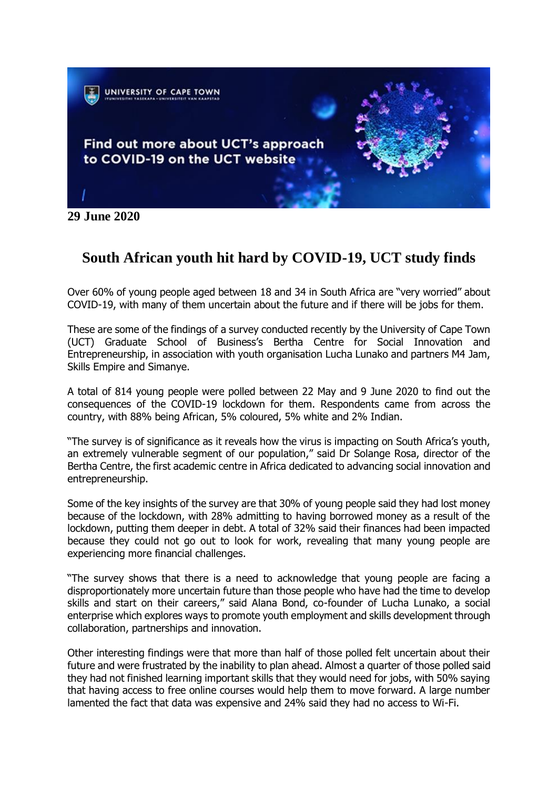

**29 June 2020**

## **South African youth hit hard by COVID-19, UCT study finds**

Over 60% of young people aged between 18 and 34 in South Africa are "very worried" about COVID-19, with many of them uncertain about the future and if there will be jobs for them.

These are some of the findings of a survey conducted recently by the University of Cape Town (UCT) Graduate School of Business's Bertha Centre for Social Innovation and Entrepreneurship, in association with youth organisation Lucha Lunako and partners M4 Jam, Skills Empire and Simanye.

A total of 814 young people were polled between 22 May and 9 June 2020 to find out the consequences of the COVID-19 lockdown for them. Respondents came from across the country, with 88% being African, 5% coloured, 5% white and 2% Indian.

"The survey is of significance as it reveals how the virus is impacting on South Africa's youth, an extremely vulnerable segment of our population," said Dr Solange Rosa, director of the Bertha Centre, the first academic centre in Africa dedicated to advancing social innovation and entrepreneurship.

Some of the key insights of the survey are that 30% of young people said they had lost money because of the lockdown, with 28% admitting to having borrowed money as a result of the lockdown, putting them deeper in debt. A total of 32% said their finances had been impacted because they could not go out to look for work, revealing that many young people are experiencing more financial challenges.

"The survey shows that there is a need to acknowledge that young people are facing a disproportionately more uncertain future than those people who have had the time to develop skills and start on their careers," said Alana Bond, co-founder of Lucha Lunako, a social enterprise which explores ways to promote youth employment and skills development through collaboration, partnerships and innovation.

Other interesting findings were that more than half of those polled felt uncertain about their future and were frustrated by the inability to plan ahead. Almost a quarter of those polled said they had not finished learning important skills that they would need for jobs, with 50% saying that having access to free online courses would help them to move forward. A large number lamented the fact that data was expensive and 24% said they had no access to Wi-Fi.